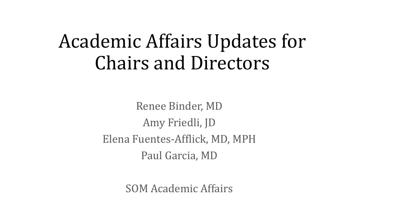# Academic Affairs Updates for Chairs and Directors

Renee Binder, MD Amy Friedli, JD Elena Fuentes-Afflick, MD, MPH Paul Garcia, MD

SOM Academic Affairs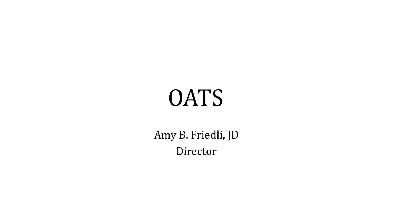# **OATS**

Amy B. Friedli, JD Director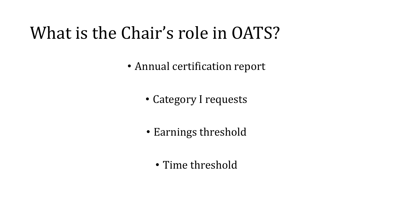# What is the Chair's role in OATS?

• Annual certification report

- Category I requests
- Earnings threshold
	- Time threshold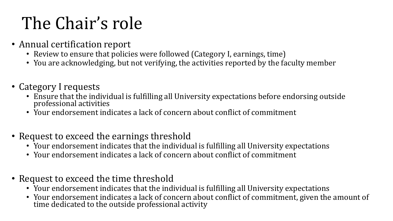# The Chair's role

- Annual certification report
	- Review to ensure that policies were followed (Category I, earnings, time)
	- You are acknowledging, but not verifying, the activities reported by the faculty member
- Category I requests
	- Ensure that the individual is fulfilling all University expectations before endorsing outside professional activities
	- Your endorsement indicates a lack of concern about conflict of commitment
- Request to exceed the earnings threshold
	- Your endorsement indicates that the individual is fulfilling all University expectations
	- Your endorsement indicates a lack of concern about conflict of commitment
- Request to exceed the time threshold
	- Your endorsement indicates that the individual is fulfilling all University expectations
	- Your endorsement indicates a lack of concern about conflict of commitment, given the amount of time dedicated to the outside professional activity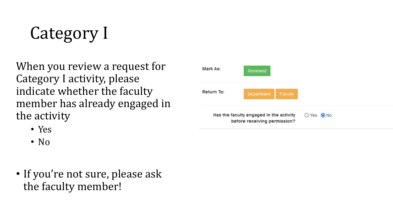Category I

When you review a request for Category I activity, please indicate whether the faculty member has already engaged in the activity

- Yes
- No
- If you're not sure, please ask the faculty member!

| Mark As:                                                                | Reviewed           |         |  |
|-------------------------------------------------------------------------|--------------------|---------|--|
| Return To:                                                              | Department         | Faculty |  |
| Has the faculty engaged in the activity<br>before receiving permission? | $O$ Yes $\odot$ No |         |  |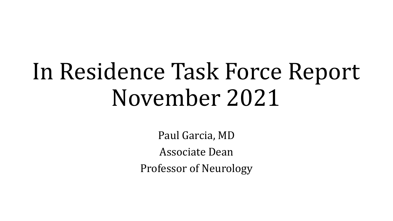# In Residence Task Force Report November 2021

Paul Garcia, MD Associate Dean Professor of Neurology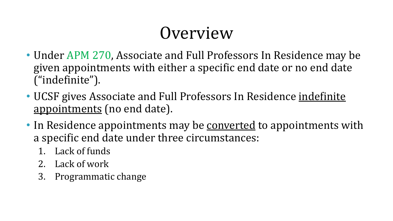# Overview

- Under APM 270, Associate and Full Professors In Residence may be given appointments with either a specific end date or no end date ("indefinite").
- UCSF gives Associate and Full Professors In Residence indefinite appointments (no end date).
- In Residence appointments may be converted to appointments with a specific end date under three circumstances:
	- 1. Lack of funds
	- 2. Lack of work
	- 3. Programmatic change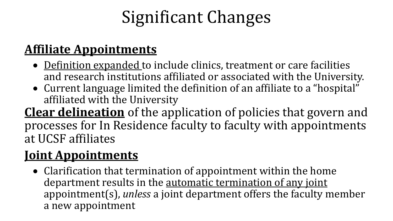# Significant Changes

### **Affiliate Appointments**

- Definition expanded to include clinics, treatment or care facilities and research institutions affiliated or associated with the University.
- Current language limited the definition of an affiliate to a "hospital" affiliated with the University

**Clear delineation** of the application of policies that govern and processes for In Residence faculty to faculty with appointments at UCSF affiliates

#### **Joint Appointments**

• Clarification that termination of appointment within the home department results in the automatic termination of any joint appointment(s), *unless* a joint department offers the faculty member a new appointment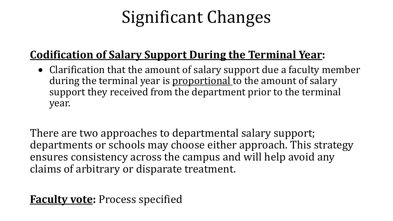# Significant Changes

#### **Codification of Salary Support During the Terminal Year:**

• Clarification that the amount of salary support due a faculty member during the terminal year is proportional to the amount of salary support they received from the department prior to the terminal year.

There are two approaches to departmental salary support; departments or schools may choose either approach. This strategy ensures consistency across the campus and will help avoid any claims of arbitrary or disparate treatment.

**Faculty vote:** Process specified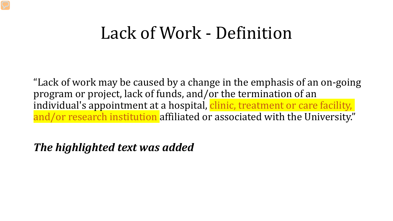### Lack of Work - Definition

"Lack of work may be caused by a change in the emphasis of an on-going program or project, lack of funds, and/or the termination of an individual's appointment at a hospital, clinic, treatment or care facility, and/or research institution affiliated or associated with the University."

*The highlighted text was added*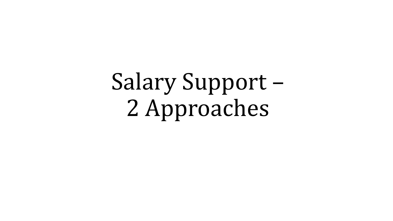Salary Support – 2 Approaches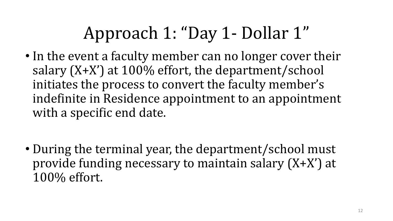# Approach 1: "Day 1- Dollar 1"

- In the event a faculty member can no longer cover their salary (X+X') at 100% effort, the department/school initiates the process to convert the faculty member's indefinite in Residence appointment to an appointment with a specific end date.
- During the terminal year, the department/school must provide funding necessary to maintain salary (X+X') at 100% effort.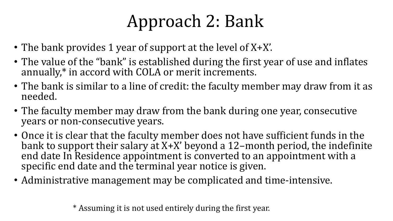# Approach 2: Bank

- The bank provides 1 year of support at the level of X+X'.
- The value of the "bank" is established during the first year of use and inflates annually,\* in accord with COLA or merit increments.
- The bank is similar to a line of credit: the faculty member may draw from it as needed.
- The faculty member may draw from the bank during one year, consecutive years or non-consecutive years.
- Once it is clear that the faculty member does not have sufficient funds in the bank to support their salary at X+X' beyond a 12–month period, the indefinite end date In Residence appointment is converted to an appointment with a specific end date and the terminal year notice is given.
- Administrative management may be complicated and time-intensive.

\* Assuming it is not used entirely during the first year.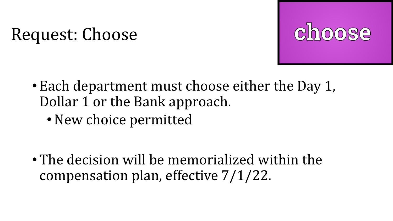# Request: Choose

- Each department must choose either the Day 1, Dollar 1 or the Bank approach.
	- New choice permitted

• The decision will be memorialized within the compensation plan, effective 7/1/22.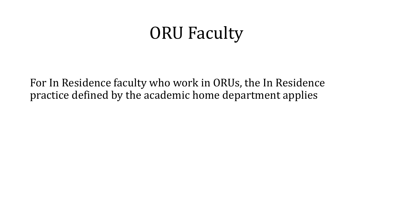# ORU Faculty

For In Residence faculty who work in ORUs, the In Residence practice defined by the academic home department applies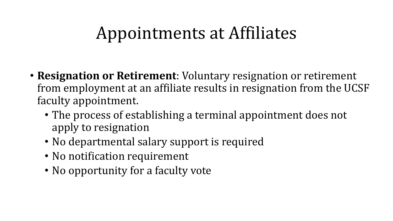# Appointments at Affiliates

- **Resignation or Retirement**: Voluntary resignation or retirement from employment at an affiliate results in resignation from the UCSF faculty appointment.
	- The process of establishing a terminal appointment does not apply to resignation
	- No departmental salary support is required
	- No notification requirement
	- No opportunity for a faculty vote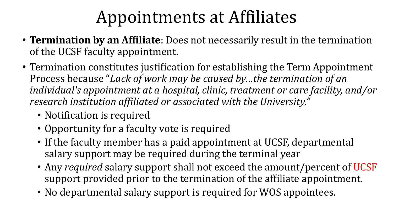# Appointments at Affiliates

- **Termination by an Affiliate**: Does not necessarily result in the termination of the UCSF faculty appointment.
- Termination constitutes justification for establishing the Term Appointment Process because "*Lack of work may be caused by…the termination of an individual's appointment at a hospital, clinic, treatment or care facility, and/or research institution affiliated or associated with the University."*
	- Notification is required
	- Opportunity for a faculty vote is required
	- If the faculty member has a paid appointment at UCSF, departmental salary support may be required during the terminal year
	- Any *required* salary support shall not exceed the amount/percent of UCSF support provided prior to the termination of the affiliate appointment.
	- No departmental salary support is required for WOS appointees.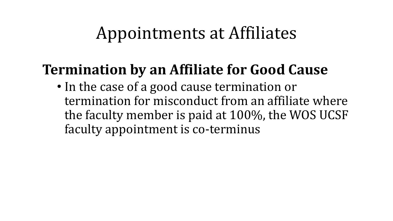### Appointments at Affiliates

### **Termination by an Affiliate for Good Cause**

• In the case of a good cause termination or termination for misconduct from an affiliate where the faculty member is paid at 100%, the WOS UCSF faculty appointment is co-terminus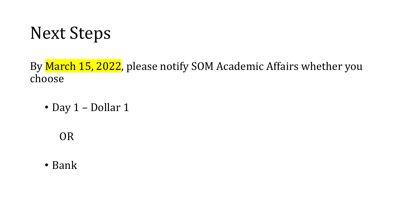# Next Steps

By March 15, 2022, please notify SOM Academic Affairs whether you choose

• Day 1 – Dollar 1

OR

• Bank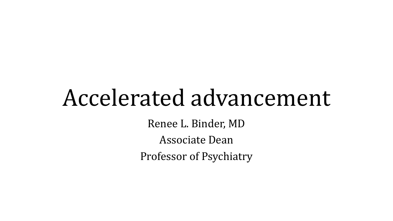# Accelerated advancement

Renee L. Binder, MD

Associate Dean

Professor of Psychiatry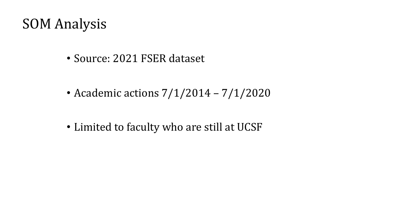### SOM Analysis

- Source: 2021 FSER dataset
- Academic actions  $7/1/2014 7/1/2020$
- Limited to faculty who are still at UCSF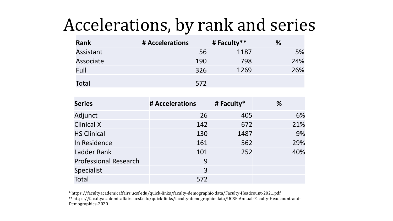# Accelerations, by rank and series

| <b>Rank</b> | # Accelerations | # Faculty** | %   |  |  |  |
|-------------|-----------------|-------------|-----|--|--|--|
| Assistant   | 56              | 1187        | 5%  |  |  |  |
| Associate   | 190             | 798         | 24% |  |  |  |
| Full        | 326             | 1269        | 26% |  |  |  |
| Total       | 572             |             |     |  |  |  |

| <b>Series</b>                | # Accelerations | # Faculty* | ℅   |  |  |  |
|------------------------------|-----------------|------------|-----|--|--|--|
| Adjunct                      | 26              | 405        | 6%  |  |  |  |
| <b>Clinical X</b>            | 142             | 672        | 21% |  |  |  |
| <b>HS Clinical</b>           | 130             | 1487       | 9%  |  |  |  |
| In Residence                 | 161             | 562        | 29% |  |  |  |
| <b>Ladder Rank</b>           | 101             | 252        | 40% |  |  |  |
| <b>Professional Research</b> | 9               |            |     |  |  |  |
| <b>Specialist</b>            | 3               |            |     |  |  |  |
| <b>Total</b>                 | 572             |            |     |  |  |  |

\* https://facultyacademicaffairs.ucsf.edu/quick-links/faculty-demographic-data/Faculty-Headcount-2021.pdf

\*\* https://facultyacademicaffairs.ucsf.edu/quick-links/faculty-demographic-data/UCSF-Annual-Faculty-Headcount-and-Demographics-2020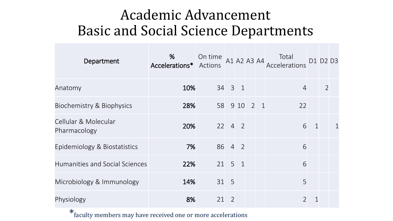### Academic Advancement Basic and Social Science Departments

| Department                           | %<br>Accelerations* Actions | On time |                      |      |                |            | Total<br>A1 A2 A3 A4 Putal<br>Accelerations |              | D1 D2 D3       |             |
|--------------------------------------|-----------------------------|---------|----------------------|------|----------------|------------|---------------------------------------------|--------------|----------------|-------------|
| Anatomy                              | 10%                         |         | 34 3 1               |      |                |            | $\overline{4}$                              |              | $\overline{2}$ |             |
| Biochemistry & Biophysics            | 28%                         | 58      |                      | 9 10 | $\overline{2}$ | $\sqrt{1}$ | 22                                          |              |                |             |
| Cellular & Molecular<br>Pharmacology | 20%                         |         | $22 \t 4 \t 2$       |      |                |            | 6                                           | $\mathbf{1}$ |                | $\mathbf 1$ |
| Epidemiology & Biostatistics         | 7%                          |         | 86 4 2               |      |                |            | 6                                           |              |                |             |
| Humanities and Social Sciences       | 22%                         |         | $21 \quad 5 \quad 1$ |      |                |            | 6                                           |              |                |             |
| Microbiology & Immunology            | 14%                         |         | 31 5                 |      |                |            | 5                                           |              |                |             |
| Physiology                           | 8%                          | 21      | 2                    |      |                |            | $\overline{2}$                              | 1            |                |             |

\*faculty members may have received one or more accelerations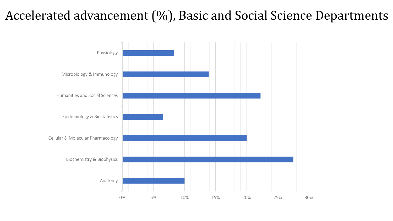### Accelerated advancement (%), Basic and Social Science Departments

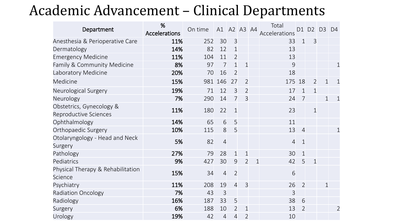### Academic Advancement – Clinical Departments

| Department                                        | %<br><b>Accelerations</b> | On time | A1 A2 A3 A4    |                |                |              | Total<br>Accelerations |                | $D1$ $D2$      | D <sub>3</sub> | D <sub>4</sub> |
|---------------------------------------------------|---------------------------|---------|----------------|----------------|----------------|--------------|------------------------|----------------|----------------|----------------|----------------|
| Anesthesia & Perioperative Care                   | 11%                       | 252     | 30             | 3              |                |              | 33                     | $\mathbf{1}$   | $\overline{3}$ |                |                |
| Dermatology                                       | 14%                       | 82      | 12             | $\mathbf{1}$   |                |              | 13                     |                |                |                |                |
| <b>Emergency Medicine</b>                         | 11%                       | 104     | 11             | $\overline{2}$ |                |              | 13                     |                |                |                |                |
| Family & Community Medicine                       | 8%                        | 97      | $\overline{7}$ | $\mathbf{1}$   | $\mathbf{1}$   |              | 9                      |                |                |                | $\mathbf 1$    |
| Laboratory Medicine                               | 20%                       | 70      | 16             | $\overline{2}$ |                |              | 18                     |                |                |                |                |
| Medicine                                          | 15%                       |         | 981 146        | 27             | $\overline{2}$ |              | 175                    | 18             | $\overline{2}$ | $\mathbf{1}$   | $\mathbf 1$    |
| Neurological Surgery                              | 19%                       | 71      | 12             | $\overline{3}$ | $\overline{2}$ |              | 17                     | $\mathbf{1}$   | $\mathbf{1}$   |                |                |
| Neurology                                         | 7%                        | 290     | 14             | $\overline{7}$ | $\overline{3}$ |              | 24                     | $\overline{7}$ |                | $\mathbf{1}$   | $\mathbf 1$    |
| Obstetrics, Gynecology &<br>Reproductive Sciences | 11%                       | 180     | 22             | $\mathbf{1}$   |                |              | 23                     |                | $\mathbf{1}$   |                |                |
| Ophthalmology                                     | 14%                       | 65      | 6              | 5              |                |              | 11                     |                |                |                |                |
| Orthopaedic Surgery                               | 10%                       | 115     | 8              | 5              |                |              | 13                     | $\overline{4}$ |                |                | $\mathbf 1$    |
| Otolaryngology - Head and Neck<br>Surgery         | 5%                        | 82      | $\overline{4}$ |                |                |              | $\overline{4}$         | $\mathbf{1}$   |                |                |                |
| Pathology                                         | 27%                       | 79      | 28             | $\mathbf{1}$   | $\mathbf{1}$   |              | 30                     | $\mathbf{1}$   |                |                |                |
| Pediatrics                                        | 9%                        | 427     | 30             | $\overline{9}$ | $\overline{2}$ | $\mathbf{1}$ | 42                     | 5              | $\mathbf{1}$   |                |                |
| Physical Therapy & Rehabilitation<br>Science      | 15%                       | 34      | $\overline{4}$ | $\overline{2}$ |                |              | 6                      |                |                |                |                |
| Psychiatry                                        | 11%                       | 208     | 19             | $\overline{4}$ | $\overline{3}$ |              | 26                     | $\overline{2}$ |                | $\mathbf{1}$   |                |
| <b>Radiation Oncology</b>                         | 7%                        | 43      | $\overline{3}$ |                |                |              | 3                      |                |                |                |                |
| Radiology                                         | 16%                       | 187     | 33             | 5              |                |              | 38                     | 6              |                |                |                |
| Surgery                                           | 6%                        | 188     | 10             | $\overline{2}$ | $\mathbf 1$    |              | 13                     | $\overline{2}$ |                |                | $\overline{2}$ |
| Urology                                           | 19%                       | 42      | $\overline{4}$ | $\overline{4}$ | $\overline{2}$ |              | 10                     |                |                |                |                |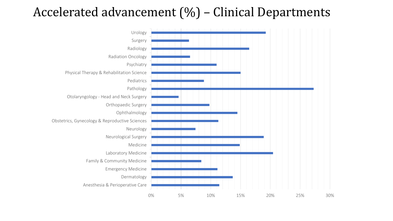#### Accelerated advancement (%) – Clinical Departments

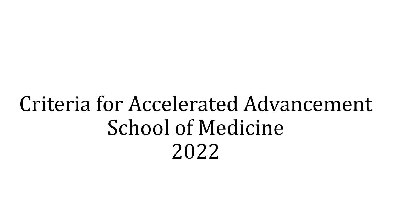# Criteria for Accelerated Advancement School of Medicine 2022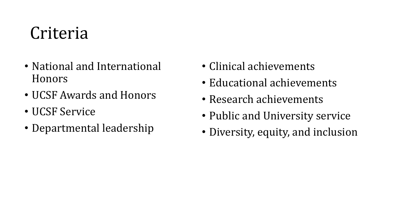# Criteria

- National and International Honors
- UCSF Awards and Honors
- UCSF Service
- Departmental leadership
- Clinical achievements
- Educational achievements
- Research achievements
- Public and University service
- Diversity, equity, and inclusion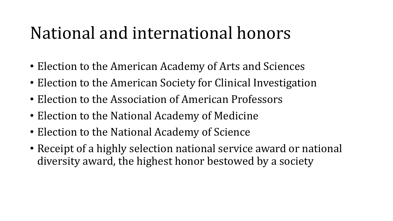# National and international honors

- Election to the American Academy of Arts and Sciences
- Election to the American Society for Clinical Investigation
- Election to the Association of American Professors
- Election to the National Academy of Medicine
- Election to the National Academy of Science
- Receipt of a highly selection national service award or national diversity award, the highest honor bestowed by a society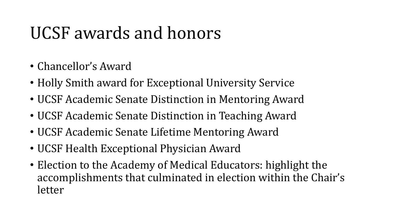# UCSF awards and honors

- Chancellor's Award
- Holly Smith award for Exceptional University Service
- UCSF Academic Senate Distinction in Mentoring Award
- UCSF Academic Senate Distinction in Teaching Award
- UCSF Academic Senate Lifetime Mentoring Award
- UCSF Health Exceptional Physician Award
- Election to the Academy of Medical Educators: highlight the accomplishments that culminated in election within the Chair's letter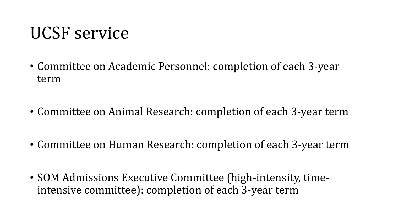### UCSF service

- Committee on Academic Personnel: completion of each 3-year term
- Committee on Animal Research: completion of each 3-year term
- Committee on Human Research: completion of each 3-year term
- SOM Admissions Executive Committee (high-intensity, timeintensive committee): completion of each 3-year term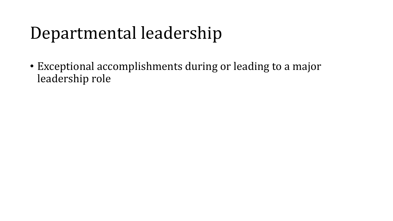# Departmental leadership

• Exceptional accomplishments during or leading to a major leadership role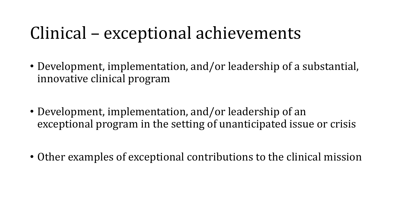# Clinical – exceptional achievements

- Development, implementation, and/or leadership of a substantial, innovative clinical program
- Development, implementation, and/or leadership of an exceptional program in the setting of unanticipated issue or crisis
- Other examples of exceptional contributions to the clinical mission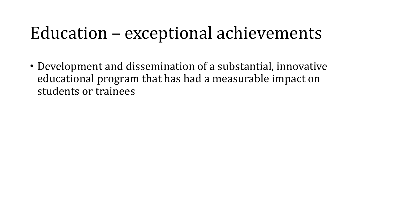# Education – exceptional achievements

• Development and dissemination of a substantial, innovative educational program that has had a measurable impact on students or trainees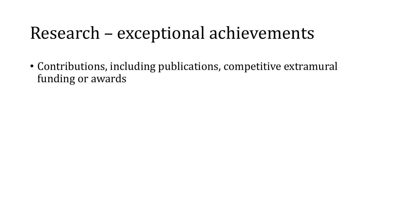# Research – exceptional achievements

• Contributions, including publications, competitive extramural funding or awards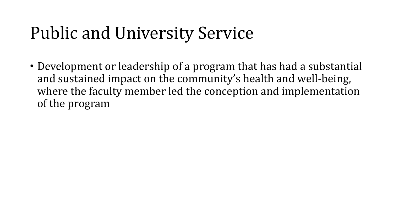# Public and University Service

• Development or leadership of a program that has had a substantial and sustained impact on the community's health and well-being, where the faculty member led the conception and implementation of the program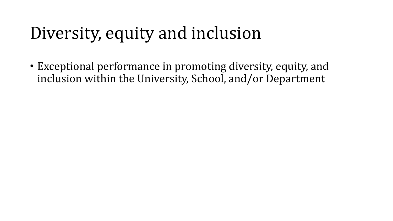# Diversity, equity and inclusion

• Exceptional performance in promoting diversity, equity, and inclusion within the University, School, and/or Department